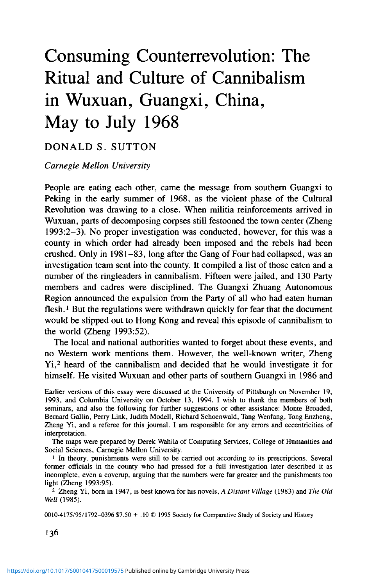# Consuming Counterrevolution: The Ritual and Culture of Cannibalism in Wuxuan, Guangxi, China, May to July 1968

## DONALD S. SUTTON

#### *Carnegie Mellon University*

People are eating each other, came the message from southern Guangxi to Peking in the early summer of 1968, as the violent phase of the Cultural Revolution was drawing to a close. When militia reinforcements arrived in Wuxuan, parts of decomposing corpses still festooned the town center (Zheng 1993:2-3). No proper investigation was conducted, however, for this was a county in which order had already been imposed and the rebels had been crushed. Only in 1981-83, long after the Gang of Four had collapsed, was an investigation team sent into the county. It compiled a list of those eaten and a number of the ringleaders in cannibalism. Fifteen were jailed, and 130 Party members and cadres were disciplined. The Guangxi Zhuang Autonomous Region announced the expulsion from the Party of all who had eaten human flesh.*<sup>l</sup>* But the regulations were withdrawn quickly for fear that the document would be slipped out to Hong Kong and reveal this episode of cannibalism to the world (Zheng 1993:52).

The local and national authorities wanted to forget about these events, and no Western work mentions them. However, the well-known writer, Zheng Yi,<sup>2</sup> heard of the cannibalism and decided that he would investigate it for himself. He visited Wuxuan and other parts of southern Guangxi in 1986 and

Earlier versions of this essay were discussed at the University of Pittsburgh on November 19, 1993, and Columbia University on October 13, 1994. I wish to thank the members of both seminars, and also the following for further suggestions or other assistance: Monte Broaded, Bernard Gallin, Perry Link, Judith Modell, Richard Schoenwald, Tang Wenfang, Tong Enzheng, Zheng Yi, and a referee for this journal. I am responsible for any errors and eccentricities of interpretation.

The maps were prepared by Derek Wahila of Computing Services, College of Humanities and Social Sciences, Carnegie Mellon University.

<sup>1</sup> In theory, punishments were still to be carried out according to its prescriptions. Several former officials in the county who had pressed for a full investigation later described it as incomplete, even a coverup, arguing that the numbers were far greater and the punishments too light (Zheng 1993:95).

2 Zheng Yi, born in 1947, is best known for his novels, *A Distant Village* (1983) and *The Old Well* (1985).

0010-4175/95/1792-0396 \$7.50 + . 10 © 1995 Society for Comparative Study of Society and History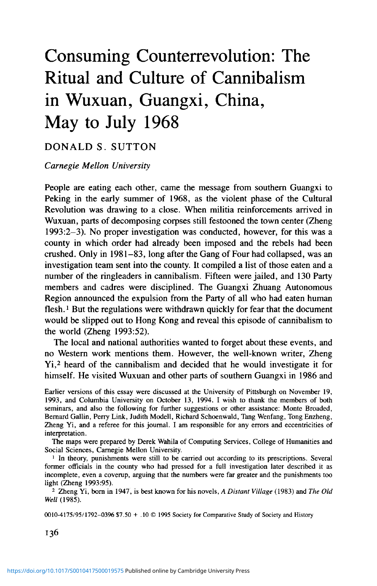1988 and left China after the Tiananmen incident in June 1989 to publish the evidence. His persistence at the risk of his own safety and the tone of his account put into proportion the terrible events he describes. His analysis, to simplify, blames the policies of the Communist Party for a recrudescence of earlier local customs and is particularly caustic of the government's failure to make former officials accountable for the violence of 1968. I shall rely heavily on his materials for Guangxi in 1968, but in trying to shed light on this incident I pursue here a different and more comparative line of analysis.

#### GUANGXI IN 1968 AND THE EVIDENCE OF CANNIBALISM

The Guangxi Zhuang Autonomous Region was notorious for its violence in the Cultural Revolution. The cause of this lay in the province's remoteness, its internal political relations, the extended factional conflict, and the character of its ruler, Wei Guoqing. A sinicized member of the Zhuang minority and former high Communist military officer, Wei had ruled almost single-handed since 1954. A political rival, Wu Chinnan, had on April 22, 1967, mobilized 40,000 Red Guards to overthrow Wei on Nanning (Karnow 1972:433-6). Wei was initially hounded down by rebels and red guards and paraded in a huge duncecap in the streets of Guilin (Hua 1987:143) but within a few months recovered power, joined by most but not all military units, along with much of the militia. Months of inconclusive skirmishing followed. Guangxi borders on Vietnam, and as the rebellion of Wuhan and turmoil elsewhere began to subside, Beijing grew concerned with the security of the railway and with new airfields constructed to help North Vietnam in its war with the United States. Late in 1967 Wei and Wu were summoned to the capital to negotiate a settlement. On their return, however, tension intensified in Guilin and Wuzhou. Wei despatched loyal militia to strategic counties throughout the region and set up revolutionary committees in the great majority of counties. Proclaiming his adversaries counterrevolutionaries, his Alliance Command attacked with heavy weapons in both Wuzhou and Liuzhou. On April 26 he vowed not to rest until victory was complete. It took a month of heavy fighting and heavy destruction and loss of life before Wei's forces controlled the two cities. Outgunned and outnumbered, desperate Grand Army activists then derailed and pillaged trains carrying military supplies to Vietnam. Alarmed, Beijing sided decisively with Wei Guoqing, who was summoned again to the capital and photographed with Mao Zedong on July 3 (Karnow 1972:439). On the same day a proclamation in the name of all the main central government departments warned that further resistance in Guangxi would be "severely punished" (Zheng 1993:8). Wei steadily established his authority in the various counties. What followed can only be called a reign of terror in which between 90,000 and 300,000 "counterrevolutionaries" and other "bad elements" (the official figure for all deaths in the Autonomous Region was 30,000) may have been killed. It is clear that Wei Guoqing's uncompromising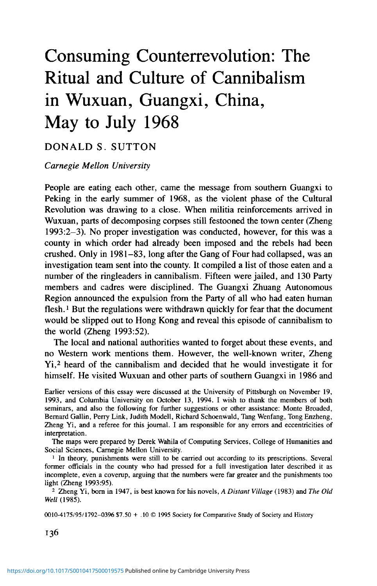policies (he is said to have ordered peasants to kill with their hoes any rebels taking refuge) (Hua 1987:10), and the emotions aroused by a protracted and violently concluded conflict directly led to the widespread violence in many Guangxi counties in the summer of 1968, including the cannibalism of Wuxuan.

Wuxuan in 1966 was a fairly remote county reporting a population of 221,786, situated on the Qian River slightly closer to Liuzhou than Wuzhou. The Cultural Revolution was declared by the county head in January 1967, six months later than the rest of the country. Parades ensued, attacking several county officials along with a large number of people accused of "going the capitalist road." The local rebel faction seized power on January 26. In June, as tension grew between Wu Chinnan and Wei Guoqing, the masses divided into two irreconcilable factions, the ins and the outs, dubbed respectively the Big Faction ("Alliance Command") and the Small Faction ("April 22"). For six months there was only verbal conflict, but in January 1968 the two sides armed themselves and within a month twice attacked each other's strongpoints. The militia took the side of the Big Faction. The first deaths occurred on February 18, when two middle school students were shot as they came out to surrender. Significantly, says Zheng Yi, the Armed Forces Department did not pursue the matter, sticking to its hands-off policy. The standoff continued in the county capital until the Revolutionary Committee was set up on April 15. In theory, this ought to have calmed things down, for its membership combined the two factions, but the plum jobs were taken by the Big Faction members, who made no secret of their determination to smash their rivals and protect what they called the New Red Political Power. Five Small Faction strongpoints were simultaneously attacked on May 11, using methods of bombardment learned in Vietnam. On May 12 reinforcements arrived from Liuzhou for the Big Faction. The Small Faction, its supplies and ammunition almost exhausted, was forced to break out across the Qian river. On May 13 the remaining Small Faction fighters were rounded up and executed (Zheng 1993:58-60).

The figure of ninety-seven killed made this one of the more costly battles in the province. What was most significant for the worse deeds that followed was the depth of feeling the conflict at Wuxuan had produced. The Big Faction drove out a motorboat and shot the fleeing swimmers. The majority of the dead, who were chiefly on the Small Faction side, Zheng Yi was told, were killed after being taken captive.

In the ensuing six weeks the frenzy of cannibalism erupted. From May to July, struggles were held in all or the great majority of the 114 brigades (villages and streets *[jie]),* and no fewer than 90 had one or more struggle meetings that terminated with on-the-spot execution. Of a total of 524 executed, 64 (later amended to 75 or 76) were eaten throughout the county's municipality and nine communes, according to the official investigation (Zheng 1993:58, 96).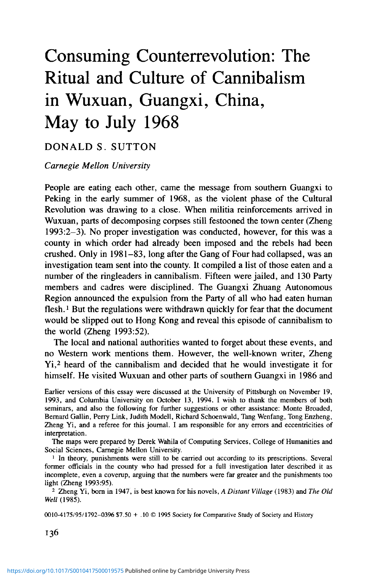Considerable encouragement for violence came from Wuxuan leaders. Killing without trial had been tolerated from March 19. At the start of June the Liuzhu branch military district summoned a "Blow the typhoon meeting" which three military and civil officials from Wuxuan county attended. On June 14 the Wuxuan revolutionary committee convened a meeting of cadres from the county, district, *dadui* [or village], and production brigade, at which Armed Forces Department head Wen Longjuan declared: "The struggle against the enemy requires a Force Twelve typhoon. The methods are: Mobilize *(fadong)* the masses fully, depend on the dictatorship of the masses, hand over policy to the masses. In making class struggle you cannot be gentle *(shouroan)"* (Zheng 1993:66). On June 26, after some 120 had been killed in the various districts and some people were calling for an end to the struggle parades *(jieshang youdou),* Sun Ruizhang, the Armed Forces Department's political representative and concurrent first deputy of the county revolutionary committee, said, "What are you afraid of! .. . If we don't suppress the class enemies in this way, we cannot strengthen the will of the people!" (Zheng 1993:73). This was a guarantee that murder in the right political framework would go unpunished.

Did cannibalism actually take place in Wuxuan? In other societies reliable eyewitness accounts of the consumption of human flesh are almost nonexistent. Reports originate from sources other than the groups described, usually neighboring enemies. Missionaries and colonial conquerors seized on such reports as evidence of the savagery of the people they were about to civilize or enslave (Arens 1979).<sup>3</sup> Yet neither logical consistency or dietary and mortuary practices lend cultural support for eating human flesh. As so often in the case of witchcraft, cannibalistic accusations tell us much less about those accused than about the accusers. Even our own culture, writes one anthropologist, "like many others, finds comfort in the idea of barbarians beyond the gates" (Arens 1979). So some scepticism is in order.

As an ethnography, Zheng's book, *Red Memorial* (1993),<sup>4</sup> is not everything

<sup>3</sup> W. Arens (1979) has questioned not only the early reports of the Spaniards about the Caribs (whose name corrupted to Canib, was given to the practice) but also reports about cannibalism in Africa, the American mainland, and New Guinea, some of them by reputable anthropologists. Arens is "dubious about the actual existence of this act as an accepted practice for any time or place" (Arens 1979:184, 9). But for evidence of actual cannibalism in New Guinea set within various frameworks, see Gillison and Poole's articles in Brown and Tuzin (1983) and Stiirzenhofecker (in press).

<sup>4</sup> I am grateful to Mr. Zheng for letting me see a copy of the corrected text before publication. The work has already been discussed by Liu Binyan in the *New York Review of Books* (April 8, 1993). The first five chapters deal with Guangxi. Chapter 1 deals with the Cultural Revolution in four counties, where there was considerable violence; chapter 2, with the cannibalism in Wuxuan; chapter 3, with the career of Wang Zujian, who served two spells in labor camp, the second for blowing the whistle on the cannibalism. Chapter 4 deals with the starvation of 40,000 people in Huanjiang (Yibei) county after the Great Leap Forward (1958); chapter 5, with Zhuang culture through ethnography and the historical record, with special reference to cannibalism; six more chapters consist of a scathing indictment of Marxist and Maoist practices in China. I use here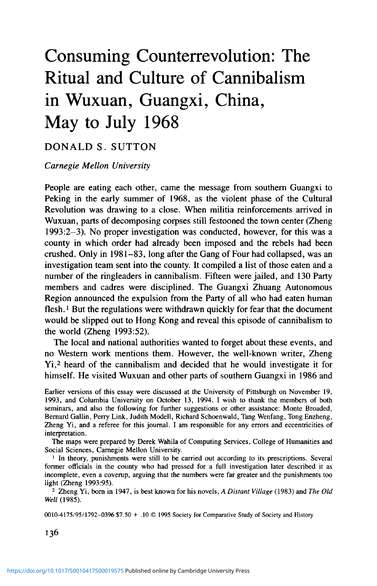that would be desired. Not being a witness to the events he relates, he can only tour a few locations and visualize the horrors of 1968. Fearing for his own safety and for the security of the materials he had already collected in other counties, he does not venture outside the town of Wuxuan and its environs (Zheng 1994). In only a few cases, discussed below, can he illuminate the personal relationships and conflicts behind the choice of victims. But Zheng does describe in convincing detail his own partly unsuccessful effort to breach the barriers of official secrecy and evasiveness. As the writer of an expose, he can be more revealing about the identity and character of obstructive officials and helpful informants than a conscientious ethnographer could be. His Wuxuan evidence, copiously footnoted, is often drawn verbatim from the investigators' secret official chronicle, which he took pains to check with informants; and he also makes footnoted references to the diaries kept by himself and his future wife, Bei Ming, who accompanied him on the 1988 trip to Guangxi. Although some of his extrapolations are unconvincing, for example, that as many as 10,000 in Wuxuan ate human flesh, it seems plausible, in view of the incomplete coverage of the investigation, that cannibal victims may have numbered almost twice as many as those named in the official chronicle.<sup>5</sup> On this and other matters, his evidence and analysis are easy to separate. That the incident truly occurred was independently confirmed by a recent visitor to Wuxuan, the scholar and journalist, John Gittings. An off-duty local clerk spoke airily of the killings and the cannibalism—obligingly writing down his name and address when asked—and added with a touch of pride, "In Wuxuan .. . we ate more people than anywhere else in China" *(The Guardian,* November 27, 1993).

Zheng's book is of a very different quality from the dubious cannibal reports that Arens criticized. His second chapter is closely based on the official report of what happened, dated May 1987, and a separate list of 64 victims, dated July 4, 1983. Fifty-six had their heart and liver cut out; 18 were completely consumed (down to the soles of their feet), 13 had their genitals eaten, one was decapitated after being eaten, and 7 were actually cut up while they were still alive (Zheng 1993:96). The locations of the struggle meetings leading to cannibalism are listed in the report (see Figures 1 and 2).

Names are also supplied of those punished for eating people. Fifteen were prosecuted, receiving terms of imprisonment up to fourteen years; 27 Party

chiefly the first two chapters, in all about 67,000 characters in length. A partial translation is slated for publication by Westview Press in 1995.

<sup>&</sup>lt;sup>5</sup> He estimates 100 and several tens in Wuxuan, which may be correct, though I am assuming only the official figure of 64. Less plausibly, he suggests that 100,000 people ate human flesh in Guangxi in the early summer of 1968 because there were probably 1,200 victims. Both figures seem too high. Few people were eaten in their entirety, and there is credible evidence outside Wuxuan only for the Qinzhou region to the south, where a tea center and four communes in four different counties (Qinzhou, Lingshun, Hepu, and Pubei) were, in an official report sampling "typical" communes, acknowledged to have had 62 cases.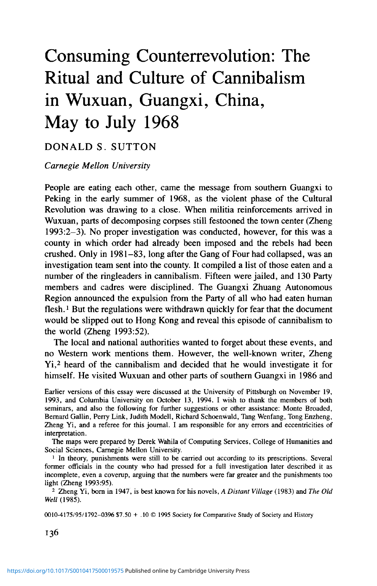



FIGURE 2. Map of Guangxi Province (technically, the Guangxi Zhuang Autonomous Region).

cadres, 5 worker Party members, and 59 peasant Party members were expelled from the Party; 18 non-Party cadres were dismissed; and 21 workers had their work points reduced (Zheng 1993:100).<sup>6</sup>

<sup>6</sup> The extent of cannibalism in this county is suggested by the 400 names of flesh eaters on an initial list.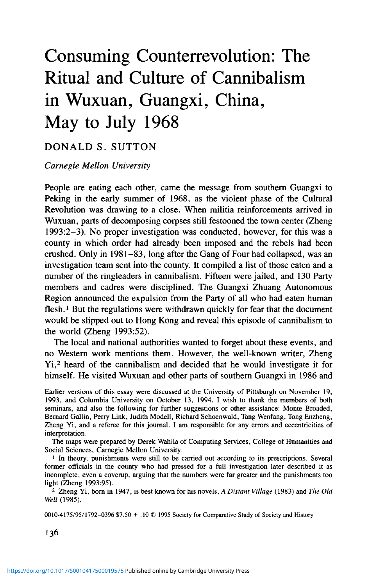Moveover, Zheng tracked down some of the victims' families—his interviews with them are harrowing—and spoke to several people who admitted eating human flesh. There are numerous photographs of those interviewed as well as of the original documents he uses. Finally, as I shall argue at length, there were cultural resonances that rendered cannibalism highly plausible.

Wuxuan's cannibalism was not an isolated act of spontaneous vengeance but a custom that briefly flourished and had its own political and cultural logic. Clearly, there was no breakdown of social order, no outbreak of chaos. The incidents of cannibalism spread all over the county over a six-week period (see Figure 1). Those who took the lead were not the crazed nor idealistic teenagers well known from accounts of the Cultural Revolution (Bennett and Montaperto 1972; Ling 1972; Liang and Shapiro 1983; Gao 1987; Thurston 1987), but Communist Party members and other cadres trained to be moral exemplars as well as followers of central authority. The forces of law and order, not the revolutionary rebels, were the killers and eaters. Moreover, the forms of cannibalistic consumption varied within a narrow range. People agreed on the best body parts and insisted on them being cooked; and the selection, killing, and consuming of victims were relatively systematized. Cannibalism evidently made sense to and had its own meanings for the participants. It was in fact ritualized. Besides being rich in symbolic meaning, it was carried out by people as a group, demarcated from ordinary life, in a fully predictable sequence of events.<sup>7</sup> The human flesh banquets *(renrou yanxi),* as they were called, were integrated with the ritual of struggle *(pidou)* (see Table 1) and suggest a fresh interpretation of that well-known feature of Maoist China.

This article explores the logic of political cannibalism in three ways. First, it analyses the various aspects of Chinese culture that facilitated this particular form of violence. Second, it synthetically explores the shape and order taken by collective rituals of struggle including cannibalism. Finally, it examines the specific case of Wuxuan, in which local features gave support to what were very exceptional circumstances, even in the period of the Cultural Revolution.

#### THE RESONANCE OF CULTURE

In spite of the impression that the Cultural Revolution represented a collapse of all cultural norms, people from all sectors of society—not just fiery youth, but old women lining up with baskets (Zheng 1993:74), local state functionaries, and even some teachers—participated in Wuxuan cannibalism. Such a

<sup>7</sup> The certainty of death once struggle began may be contrasted with the relatively unpredictable witchcraft accusations and trials in early modern Europe. See especially Larner (1981:114). The tendency to ritualization even in beatings to death is exemplified in Binyang county. "The victims in general were not tied up, because they had nowhere to escape, and no hope of life. As soon as they heard the cry of command, more obediently than sheep they stepped forward on the path to death. They didn't seek nourishment, shout curses, try to argue, their expressions were cold, without any consciousness of resistance; they knelt silently on the ground and let people batter them to death. If they were knocked over on the ground, they were made to kneel properly; knocked over, they would again kneel properly, until they lost consciousness (Zheng 1993:14).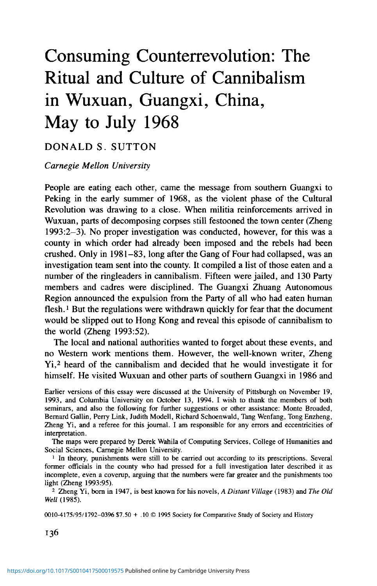TABL  $\Xi$ 

*Details of Select Cases m Wuxuan County Province from May through July 1968*

|         |                                                                                                                                      |                               |                | How Killed                                                     |                                               |                                                              |
|---------|--------------------------------------------------------------------------------------------------------------------------------------|-------------------------------|----------------|----------------------------------------------------------------|-----------------------------------------------|--------------------------------------------------------------|
| Date    | ace                                                                                                                                  | Victims                       | <b>Iype</b>    | Method                                                         | Parts Cut for Eating                          | How Disposed                                                 |
|         | Tongwan<br>Wuxuan<br>Wuxuan<br>Tongwan<br>Sanli<br>Sanli<br>Wuxuan<br>Wuxuan<br>Dongxiang<br>Wuxuan<br>Tonglin<br>Tonglin<br>Tonglin | 2 Tans                        | itruggled      | anghot                                                         | All flesh                                     | listributed                                                  |
|         |                                                                                                                                      | lan, Wei                      | <b>Captive</b> | Jut up alive                                                   | leart, liver, flesh                           | hared, eaten with pork                                       |
|         |                                                                                                                                      | <b>Zhou</b> brothers          | 'aptive        | Cut up                                                         | leart, liver, flesh                           | hared                                                        |
|         |                                                                                                                                      | Chen                          | Waylaid        | Knifed                                                         | iver                                          |                                                              |
|         |                                                                                                                                      | 3 Chens                       | Struggled      |                                                                | iver                                          |                                                              |
|         |                                                                                                                                      |                               | Struggled      |                                                                | Heart, liver, flesh                           | Night snack (for 20)<br>Villagers cook, eat<br>Flesh banquet |
|         |                                                                                                                                      |                               | Struggled      |                                                                | Heart, liver, thigh<br>Genitals, Heart, liver | school banquets                                              |
|         |                                                                                                                                      | Zhang<br>Wu<br>Zhang<br>3 Lis | Struggled      | Knifed<br>Knifed<br>Beaten<br>Cut up alive<br>Beaten<br>Beaten |                                               | Not known                                                    |
|         |                                                                                                                                      |                               | struggled      |                                                                | Liver, genitals<br>Flesh stripped             | Banquet, River<br>Eaten in school                            |
|         |                                                                                                                                      | Huang                         | struggled      |                                                                |                                               |                                                              |
|         |                                                                                                                                      | Diao                          | ugitive        | $\frac{1}{2}$                                                  | leart, liver                                  |                                                              |
|         |                                                                                                                                      | 2 Liaos, 2 Zhongs             | itruggled      | Jubbed                                                         | Il flesh                                      | Hot pot by Militia<br>Eaten by 20-30 at                      |
|         |                                                                                                                                      |                               |                |                                                                |                                               | Brigade HQ                                                   |
| 7? ylul | Iongwan                                                                                                                              | ິສ                            | Struggled      | Cut up alive                                                   | Genitals, thigh, liver, all                   | Not known                                                    |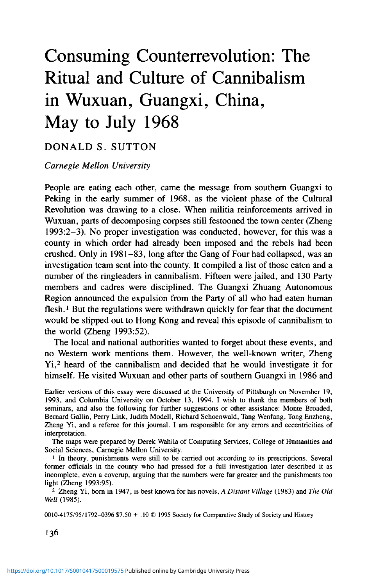wide participation indicates the presence of powerful cultural resonances and rationales that need to be explored in the full setting of local historical experience. There has been some scholarly resistance to the application of cultural interpretations to the People's Republic (White  $1989:315-7$ ),<sup>8</sup> even to the idea that culture matters at all. The anthropologist, Myron Cohen, has argued that "political relationships in modern China have no shared cultural framework. . . Hegemony in modern China receives no commonly accepted legitimation through culture, rather it represents the culture of the barracks, a culture of compliance, of slogans, posters, and mobilizations conveying messages and commands rather than meaning." The notion of "flat cultureless culture" which Cohen sees as particularly characteristic of the campaigns *(yundong)* of the Maoist period (Cohen 1991:130) seems overstated, in spite of Mao Zedong's famous description of the peasants as a blank sheet of paper.<sup>9</sup> Even the forms standardized by the mass media of the People's Republic had to seem persuasive in terms of Chinese culture. In the case of the struggle movements, a Communist invention with no earlier Chinese model, the oxshed made sense because it referred to ox ghosts, a term for one of the well-known servitors in purgatory that was widely applied to class enemies in the Cultural Revolution; the reference was to someone rather menacing but in the permanently liminal state that purgatory represents. The iconic display of street struggle parades, complete with drums and cymbals, recalled the traditional religious procession, with its implications of local order and authority. The scalp crosses and placards bearing the labels designating outcasts recalled the public shaming formerly imposed by the tatoos and cangues worn by traditional criminals. The revolutionary dances that outcast groups were forced to perform were reminders of the comic troupes at local festivals that satirized bad behavior among neighbors. Thus, as actually practiced, the struggle campaign was put together out of miscellaneous elements of Chinese

8 After asking, "How much was tradition to blame?," Lynn White III notes that "if the Cultural Revolution were crucially a result of Chinese habits, then China would have cultural revolutions all the time" (1989:315-6). The question I ask is not why the Cultural Revolution took place, but what forms it took, a question with a partly local and certainly partly cultural answer. He also asserts, "Any 'culture,' framing enough of the environment of those who use it to deserve that name, is probably too various to determine specific behavior" (1989:47). I would grant that culture may not determine specific behavior, but behavior occurs in a cultural context which may help to shape it, especially as one moves away from official ideology and the political center to explain local events. In a recent collective work representing a "neo-culturalist" viewpoint, Elizabeth Perry (Wasserstrom and Perry 1991:45), distancing herself from earlier static and monochromatic portraits of Chinese society in the political culture vein, writes of a "multiplicity of available cultural repertoires." Such a formulation makes culture not fixed and determining but accessible to particular adaptations, and is compatible with the approach of this essay. For an early comparative treatment of thought reform consistent with a cultural interpretation, see Clark (1976).

<sup>9</sup> Temporizing with local culture was a feature of the early Communist movement. One early leader, Peng Zhimin, would light incense and candles and sign blood oaths when he first organized a local peasant movement (Ristaino 1987:190); on local religious belief supplying a framework for Communist activity in the Taihang area, see also Thaxton 1983:140-59.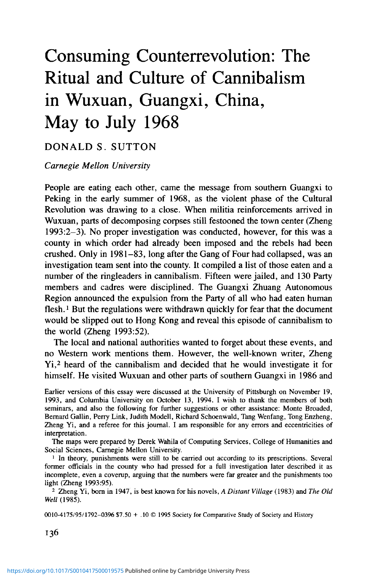culture—a process Lévi-Strauss has called bricolage. At the same time some elements of the struggles have long been central to Chinese culture, notably the sense of collective family guilt and the diminution of the individual. It is no accident that the struggle campaign is unique to Chinese socialism.

Local adaptations remain to be explored.<sup>10</sup> One example not far from Wuxuan may be mentioned (Figure 2). Binyang county in July 1968 was swept by a movement to "make gods [images]" *(zaoshen yundong),* images that represented the slogan, "Seek instructions in the morning, report in the evening" or the "Loyalty character dance" and what was called the "Three Loyalties to the Four Unlimiteds." Within several weeks, no fewer than 3,883 people were to be killed in the county. The god's images, Zheng Yi notes, had helped to break down the usual taboos against killing people (Zheng 1993:8). In understanding Wuxuan-style cannibalism as another local adaptation of the struggle movement, one made out of widely diffused Chinese cultural material,we should look closely at, first, particular ideas about proper punishment; second, unsuitable food; third, folk traditions of actual cannibalism; and fourth, polarities and metaphors surrounding death.

### *Imagery: Courts of Empire and Purgatory*

The violence of spring 1968 in Wuxuan resonates with traditional ideas of punishment. In courts of the past, long a feature of local opera in China, the means of execution were graduated according to the severity of the crime. Worst of all was the archaic death by slicing and other mutilations (McKnight 1992:329-30). Such a death in China violated the filial obligation to parents and ancestors to keep the physical body in one piece, even in death.

After the last great battle between the Big and Small Factions in Wuxuan, body parts were displayed on trees (Zheng 1993:60). This was a clear echo of the practice of exposing criminals guilty of treason in the marketplace, reducing them to meat. A variant was the parade of body parts. Thus, after the military defeat of the Small Faction, Zhou Weian, its captured leader, was executed and his head and legs taken first to Luxin village as a sacrificial offering at the memorial meeting for two of the Big Faction members and then to the county seat for theatrical use in a cruel catechism with his pregnant widow (Are these your husband's head and legs? Was he a bad person? Is this your husband's thigh bone?) (Zheng 1993:61-62). Here Zhou Weian's body signified the hard-earned victory of the Big Faction. It was as powerful an icon as the god's images that in living memory had paraded proudly before rival communities.

The popular sense of justice required that the punishment fit the crime and

<sup>10</sup> Cases besides the struggle campaigns could be mentioned. Endicott (1988) has an example of a Sichuan ritual spontaneously devised in response to the news that Mao had handed mangoes to militia groups in Peking, signalling unmistakably that the Red Guards were on their way out. The commune organized processions reminiscent of gods' processions in the past in which mangoes decorated with ribbons were formally passed from one production brigade to the next.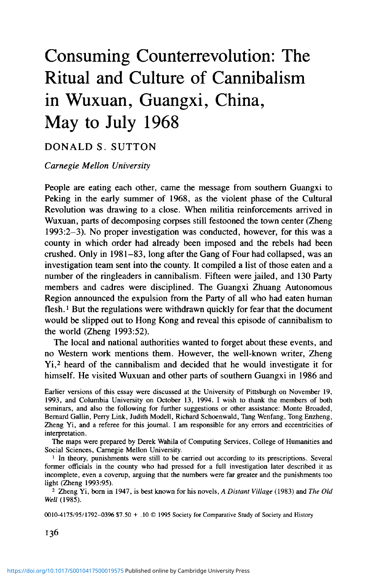that no punishment was severe enough for an old feud. Zhou Weian's brother and two students killed earlier may all have been eviscerated alive, though testimony is conflicting (Zheng 1993:61-62). Cannibal consumption was an extension of the same idea. To chop up, cook, and masticate was a still more complete way of offending bodily integrity, depriving the enemy of humanity by reducing him to the status of a comestible. At Huangmao Street, the center of the county's northernmost commune, a primary school teacher, Zhang Boxun (a poor peasant but with a Small Faction viewpoint), tried to escape during a street struggle on June 18 by jumping into the river. His heart and liver were cut out by the militiaman, Guo Lixiang, who used a 5-inch knife and who, with another man, cooked them in an earthenware pot. Others cut away the rest of Zhang's flesh and intestines. Everywhere there were people eating human flesh. In one place a 1.8-foot stewpot served enough to banquet *(jucari)* over ten people. At the Huangmao Foodstuffs Depot and the Distribution Office, over 80 percent of the units' members ate, some under duress. The official report commented that "the masses called it, 'A human flesh banquet'" (Zheng 1993:68-69).

On the same day, a geography teacher of the Wuxuan Middle School, Wu Shufang, was beaten and killed after a series of struggle meetings directed at the faculty. Student leaders forced four of the other teachers, identified as a black gang, to carry the body to the river and made one of them cut out the heart and liver and slice off the thigh flesh. The flesh, packed into plastic bags or slung from rifle muzzles, was carried back to the school grounds. A woman from the kitchen staff was roused to open up the main kitchen, and seventy or eighty students partook of the teacher's flesh; other parts were cooked in an earthenware pot in the campus lodging of the vice head of the Revolutionary Committee and eaten by four students in his presence. A third group of students barbecued on a walkway outside classrooms number 31 and 32 (Zheng 1993:69-70).

Visiting and photographing the sites of these horrors almost three decades later, Zheng Yi repeatedly is reminded of hell's paintings (Zheng 1993:11, 92), and in fact the images of hell may have been their inspiration. In these graphic visions of hell's punishments, still to be seen in popular religious books and many Taiwan City God temples, demonic half-human figures tore apart, boiled, and dismembered their live victims for the crimes they had perpetrated on others during their lifetimes (Teiser 1988). Observers were supposed to be cautioned by such pictures, but it is just as likely that they imagined their enemies in torment, not themselves. In castrations dead or alive, in frying or roasting of body parts, people empowered themselves to actualize such punishments in the real world. Torture and cannibalism created a sort of secularized hell, offering immediate sadistic satisfactions and serving as a warning to one's local enemies.

These public punishments thus combined the imperial courtroom with the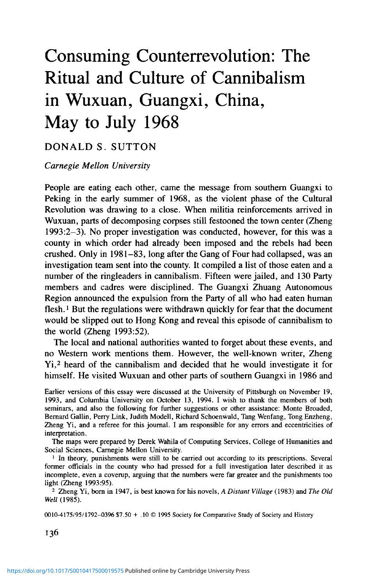torments of purgatory. The eviscerating and eating of human flesh fitted the traditional sense that punishment should vary in form and degree according to the turpitude of the offender. Cutting up alive was fully suitable for one's worst enemy. But unlike the Qing legal system, in which the sentence had to fit the motivation, status, and circumstances of the crime precisely (Bodde and Morris 1971:30-32), here it needed only to match the already demonized criminal. Fearful punishments could be justified in the absence of any proven wrongdoing.

#### *Flesh, Bones, and Pork*

Beliefs about the dead also play a key role in cannibalism, reflecting the south Chinese polarity between bones and flesh. Once again, there is little that is random and arbitrary in the practices of consumption and disposal extemporized in the spring of 1968. Bones, an important focus of ancestral worship, are treated with caution. There is one touching case in which the father of a victim (Deputy Principal and ex-guerrilla Huang) refuses to tell where his son's remains are kept, even when his former commanders come to pay their respects. He fears that the bones will be destroyed in some future turn of the political winds (Zheng 1993:87). In south China the bones represent the perduring part of the dead man's power: his authority as the recipient of ritual and symbolic obeisance—and bestower of misfortune if such filial duties are forgotten (Ahern 1973). The bones are of no use to others and might indeed bring harm. Thus, when the disposal of bones is mentioned, they are invariably cast into the river (Zheng 1993:62, 70, 72).

Carving people up when they were still alive must be explained in terms of the power attributed to the flesh. One case within the Gan surname group, presumably a single lineage, in Datuan village in the far south Tongwan commune was described in the official report as "too horrible to contemplate" and later confirmed for Zheng Yi by a number of witnesses. Gan Dazuo, after his struggle session, was castrated and disemboweled alive by other men surnamed Gan, who ignored his cry, "Wait 'til I'm dead, then cut." Gan Ziyang, who had shouted, "The Seven-Inch *Qicun* [that is, penis] is mine, no one else can cut it off!," was the first to move, ignoring Dazuo's terrible screams. Others swarmed up and cut the flesh clean. Gan Ziyang eventually received the light sentence of a seven-year incarceration (Zheng 1993:73). Even this horrifying act makes cultural sense. Human flesh is yin, as distinct from the yang of bones. It is supposed to rot under the ground after burial.<sup>11</sup> Yet human flesh possesses beneficent transforming power which immediate consumption would make available (compare Thompson 1988:100-2) before the yin element had become dangerous in the state of putrefaction (J. Watson

<sup>&</sup>lt;sup>11</sup> "Just as the flesh of the deceased disappears through decay, so certain parts of his authority are lost when he dies" (Ahern 1973:209). The sons must allow the flesh to decay and must wait patiently for the patrimony to be conveyed to them in due course.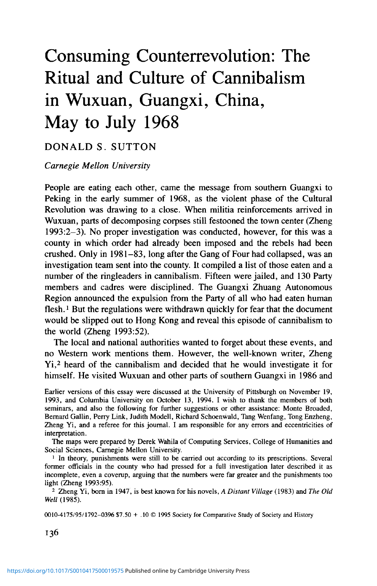1988:155-86). Male genitals are particularly coveted for their link with *yang* fertility.

Women's flesh, presumably being too *yin,* does not offer the same source of power. When the two Small Faction women, one of them the pregnant widow of its leader, are hauled to the stage, they resist the humiliation of taking off their blouses. One of the organizers cuts the material from the back but scoffs "Old women's flesh! Inedible!" (Zheng 1993:61). On the list of those eaten in Wuxuan only one name obviously belongs to a woman (Zheng 1993:65). When a teacher was discovered to have eaten a "beautiful" girl student for medicinal purposes, he was not copied but stigmatized as deranged (Zheng 1993:44).

There is a tendency to hierarchize consumption. In the several examples given, governmental units appropriate the flesh and share it around a table, denying ordinary people; a militiaman takes off with the prized liver and heart; an unnamed youth is left to lift up and shake the intestines, the least desirable portion (Zheng 1993:68-69). This may be an echo of the ritual distribution of pork widely found in South China lineages after the offering at the ancestral grave, when the cooked pigs are divided among the branches according to their status. As at Cantonese graves, open conflict could ensue (R. Watson, in J. Watson and Rawski 1988). But the distribution of raw parts was never ritualized in Wuxuan, where the crowd's mad scramble is more common (see Zheng 1993:71, 74).<sup>12</sup>

The only meat mentioned as being mixed with human flesh is pork (Zheng 1993:61), perhaps to make it more palatable or perhaps because human flesh actually tastes like pork (Camporesi 1989 [1980]). The association may have a deeper resonance. The symbolic logic of funerals in China is to transform a corpse into an ancestor by manipulating symbols of regeneration and fertility. One important way this is done in central Taiwan is by means of the prestation of pork, which is associated with the flesh of the deceased and in a sense replaces it in clothing the bones (Thompson, in J. Watson and Rawski 1988:95-102). In the period before the funeral, the descendents of the deceased (except women who are married out to other families) are supposed to abstain from pork. According to villagers, to eat it would be unfilial: "It would be like eating the dead person's flesh."

Whether or not ancestors were ever eaten—as origin myths for pork sacrifice assert in southeast China (Ahern 1973:205-12) and in Oceania<sup>13</sup>—the

13 Like the thoroughly "un-Chinese" Guangdong and Minnan custom of chewing *binglang* (betel nut), it may be an imported custom.

<sup>&</sup>lt;sup>12</sup> Zheng describes a day in July (given as July 17 in the official report but corrected by him to July 10) when in Sanli commune at Upper River Production Brigade, there was a brief struggle meeting and four men, two each surnamed Liao and Zhong, were beaten to death with clubs. The scene as people swarmed about cutting off flesh was "extraordinarily exciting *[renao]."* Someone remembered seeing an old white-haired woman brazenly grab a piece of human liver and contentedly carry it home in the rain, the drops of blood staining the road. The four corpses were cut up and taken back to the headquarters of the Production Brigade and cooked in two large pots, and then were eaten by some twenty to thirty people (Zheng 1993:73-74).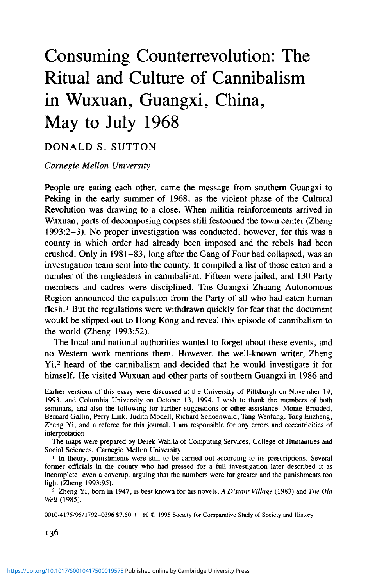symbolic equation of the two may have subconsciously facilitated cannibalism by means of a literalistic inversion, explicit or unconscious, of substances already metaphorically linked.<sup>14</sup> Instead of being metaphorically consumed as pork by ancestors, flesh was directly consumed by the survivors, regenerating them, just as pork was believed to regenerate ancestors. In this light the human flesh banquets are no less horrifying, but become culturally meaningful.

#### *Past Cannibalisms of Necessity, Hatred, and Devotion*

Chinese local histories repeatedly mention cannibalism in desperate times (Chong 1990:56–62).<sup>15</sup> The term "so hungry that they ate each other" was no doubt often figurative, and works that take such expressions at face value should be treated with suspicion. But when people are chewing bark from trees, digging insects from the ground, and mixing mud with chaff, as in numerous historical famines, the prospect of human meat amid pains and hallucinations of extreme hunger may be hard to resist; and there is ample evidence of resorting to cannibalism in Europe in similar conditions (Camporesi 1989:44–55).<sup>16</sup> It is impossible to know how often such "survival cannibalism," to use Chong's phrase, was done in repugnance and how often it was done in response to the indirect cultural supports of cannibal practice. In any case the cannibalism as the result of need may have established a precedent for symbolic forms of cannibalism.

Symbolic cannibalism is also not uncommon: A political or personal enemy would be eaten to seal his defeat. The preferred method was pickling in late Zhou times, serving in stew during the Warring States period (Lewis 1990:28, 148; Chang 1977:34; Chong 1990:153-6). Chong (1990:79-92, see also Schafer in Chang 1977:135) assembles numerous references to learned canni-

<sup>14</sup> The powerful set of associations of flesh and pork, and their links with death and continuity may be compared with the Christian Eucharist (Bynum 1987:ch. 4). In Europe the orthodox pattern is that Christ sacrifices himself literally, to save humanity, and is consumed metaphorically in Communion, conceived as equal under the priest's guidance. In China the conventional pattern of funeral sacrifice just noted is *metaphoric* consumption of whole cooked pig as *flesh* for the dead to become ancestors, followed by *actual* consumption of pieces of *pork* by the hierarchized members of the community. In both cases substitutions and inversions might transform these most powerful symbols in the interest of particular social groups. Women mystics could survive on the eucharistic bread alone, have visions of sucking Christ's lactating wounds, could bleed like Christ, give their own bodily suppurations to feed others as Christ had sacrificed himself for humanity. In modern times, young Catholics justified the consumption of relatives and others in the Andean air crash by taking a literal interpretation of the Eucharist (Gzowski 1980).

15 Chong (1990:55-62) lists a number in dynastic records by place from 205 B.C. to 1639 A.D. With very few exceptions cannibal incidents were reported in the northwest or the north China plain. The most common cause given was drought. The question of the actual incidence of all kinds of cannibalism needs to be examined with a great deal of caution. Chong's work is mainly useful in showing how widely people believed it to be and what forms and motivations were associated with it.

<sup>16</sup> Camporesi quotes Lévi-Strauss: "No society is proof, morally speaking, against the demands of hunger" and notes that "the horror for anthropophragy and patrophragy becomes ever more consistent the more Western European society is spared the pangs of hunger (1989:52-53).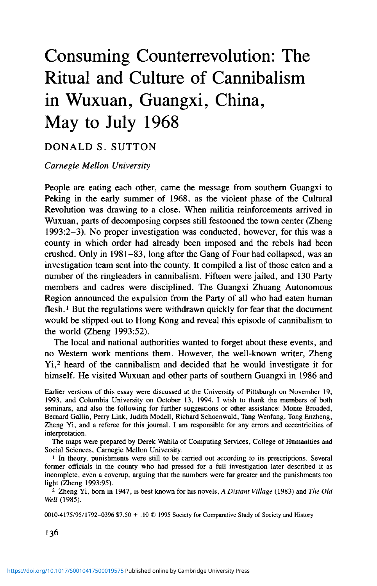balism from Han to Ming times and points to officialdom's political exploitation of hatred. The most famous case in late Imperial China, though not attested in official records, was the cutting up of the powerful late Ming eunuch, Liu Jin, into innumerable pieces for distribution among the people who detested him. The dramatic act of consumption involved bravado and must often have been intended to intimidate other potential challengers.

Such practices were more than acts of revenge. Rather, they were sacrificial in meaning and reflected well-known stories of early dynastic crises of legitimation. The Yellow Emperor, said to be the founder of civilized warfare and even Chinese civilization itself, had first to defeat the half-monster warrior, Chi You, who was cut apart and shared in a meat stew among the victorious soldiers. The Xia could only be reestablished after the defeat of the usurper, the archer Yi, fed to his own son by a treacherous minister, who was overthrown in turn. The Shang could only replace the Xia when the founder offered himself up as a sacrifice. The Zhou could only replace the Shang, according to some texts, when the dead king was offered up in a sacrifice, and according to others, when its founder had personally killed King Zhou by eating him raw or lapping up the blood (Lewis 1990:165-6, 206-10). It is notable that these stories are recounted not disapprovingly but from the point of view of the victors, that is to say, that of the cannibals, and as moral acts.

For these mythic events, numerous conflicting accounts survive, some offering alternative versions of legitimation. It is likely that some figures have been euhemerized from earlier culture heroes or portrayed in acts they did not commit. But that does not affect the argument here: Widely believed stories underlined the necessity of sacrifice (the offering of oneself or of one's enemies) and represented cannibalism as not only emotionally satisfying but also ritually appropriate. The sacrifice that sealed victory (compare with the fate of Zhou, leader of the Small Faction) confirmed the covenant that traditionally began battle and at the same time cleansed the pollution incurred by regicide. Cannibal sacrifice, in its full form, was a ritualized political act. It legitimized the group's ascendancy over those defeated and fortified the cohesion of the group and its leaders' ascendancy over his followers. It drew its power from the afterlife, for sacrifice was offered to the ancestors or in some cases the leader just fallen in battle; and the sacrificial victims were punished in death. Such stories, spread in regional opera and storytelling traditions, kept the idea of revenge cannibalism alive and sustained acts of cannibalistic revenge, both individual and collective.<sup>17</sup> People will still say today of a bitter enemy, "I hate him so much that I could eat him," an idea that can be found as early as the *Zuozhuan* (Chong 1990:48-49). In the recent historical novel, *Red Sorghum,* set in Shandong province during the war against Japan, a bandit leader

17 Luo Guanzhong's *Sanguo yanyi* has examples of actual cannibalism, and enmity for the villain, Sun Quan, the King of Wu, is expressed both by Guan Yu's ghost and Liu Bei in terms of a desire to eat his flesh (Luo 1976:244, 258, cited by Chong 1990:131-3).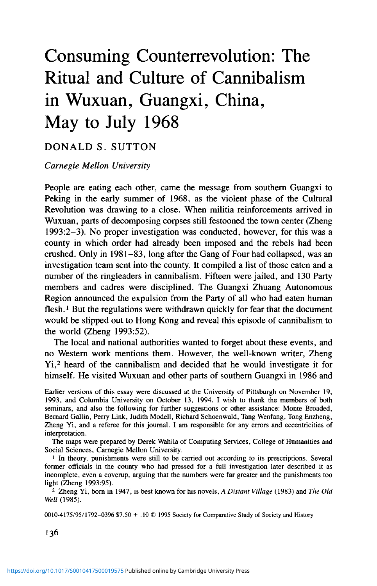orders the decapitation of a suspected spy: "rip out his heart and liver and cook them to go with the wine!" (Mo Yan 1993:243). He is countermanded, but a recent memoir notes an actual case, during land reform, of a Communist team leader eating the heart of a bandit leader (Chang 1991:167).

Metaphorically, to "eat" someone in China has long meant an extreme use of power, both to uphold and to overthrow unjust authority. An oppressor ever since Zhou times has been one who "treats the people as fish and meat" ( $yu$ *rou xiaomin).* In the same spirit, Lu Xun's modern short story in the vein of Gogol describes a Chinese madman who sees a truth missed by the sane: Cannibals are on every page of the history books (Lu Hsun 1980 [ 1918]). What better revenge, one might suppose, than an inversion—to eat the oppressor? This logic of eating the villains, but in a metaphorical sense, was present very early in Chinese Communist practice. Instead of "eating bitterness," the standard term for suffering, peasants were urged publicly to "speak bitterness," blaming local villains for their sufferings. In his writings on the Hunan peasant movement in 1926, Mao Zedong described how peasants would "eat up powerful families" (Schram 1968:249; *cf.* Solomon 1971:165). They would demonstrate at the house of a "local bully" or rich landlord hostile to the association, "takfing] their meals at his house, slaughtering his pigs and consuming his grain" (Schram 1968:256). The bullies and landlords were not actually eaten, of course, but in the carnivalesque atmosphere of Wuxuan in 1968 the same logic made the figurative literal  $18$  The conversion of the oppressor into food for the former victims must have seemed a fitting revenge.<sup>19</sup>

A cannibalism of devotion is also to be found very early: A man would knowingly eat his son out of loyalty for his lord or would give up his own life to be consumed. In Late Imperial times this becomes something of a cult assimilated to Confucian family values, though it was often criticized by Neo-Confucian writers. A filial daughter or son would cure a sick parent by cutting out his or her liver or a piece of thigh and cooking and feeding it to the patient.<sup>20</sup> Significantly this act—which may often have been faked or purely symbolic—was generally attributed to a woman, married or not (Chong 1990:93-103, 115-23), specifically on behalf of a mother or mother-in-law.<sup>21</sup> Structurally a woman was a true member of neither her natal nor her marital family and therefore was detached emotionally from both. The desperate and widely admired act of flesh cutting may have been intended to strengthen

<sup>&</sup>lt;sup>18</sup> See for example the killing of the Peartree Lis, below.

<sup>&</sup>lt;sup>19</sup> Conversely Nancy Munn (1986:220-8, 271) wrote of the Gawa witches, whose necrophagy stood for the greed of their victims.

<sup>&</sup>lt;sup>20</sup> The story of Guanyin, who sacrificed her arms and eyes for the sake of her father, was a popular example of filiality widely known through popular drama and ritual in China (Dudbridge 1978). The violation of filial duty is justifiable *in extremis* in this form of ritualized contravention. Solomon (1971) deserves credit for pointing to the Chinese theme of eating as aggression.

<sup>&</sup>lt;sup>21</sup> Chong (1990:97) suggests that this is because women have more attachment to their mothers in early childhood, but that does not explain mothers-in-law.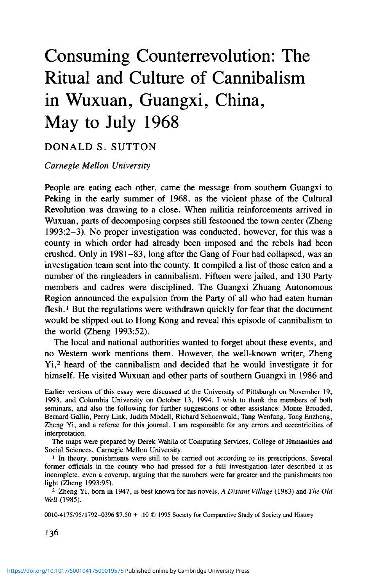these weak bonds in one household or the other. Here we have a surprising conjunction with political or hate cannibalism. Though opposites, giving or taking a life and using one's own or another's body as food are both ritual acts giving intense emotional meaning to relationships conceived in moral terms. Whereas cannibalism severs all social and human attachment between two people, thigh cutting underscores filial ties between mother(-in-law) and daughter(-in-law). What made both rituals meaningful, very much in the spirit of approved Confucian rituals, was the emotion and intention on the part of the donor and eater respectively. As earlier noted in connection with taboo foods in general, context was what counted. Love or filial cannibalism is, then, to be seen as a sort of structural reversal of revenge or political cannibalism, gaining its meaning from cultural assumptions about ritual in human relations.

The preference for liver among filial self-mutilators was echoed in the Cultural Revolution. In one Guangxi county, Shanglin, activists ate only the livers of their victims (Zheng 1993:20, 23). While the liver is associated with anger, it is also linked with intimate affection in the compound term, "heart liver" (xin'gan), and the two organs seem to be identified with life itself. In early Chinese political theory, the heart signified power; it was a metaphor for the sovereign, his ministers being the limbs. Cutting out a powerful enemy's heart may be regarded as the Chinese equivalent of the royal decapitation in Europe, where the king symbolized the head of state. Thus, the political cannibal of folklore and history often ate both the heart and liver, a cultural precedent followed in Wuxuan in 1968. When Wuxuan Middle School colleagues of the geography teacher, as noted earlier, were forced to use a knife on him, armed students warned them, "We just want the heart and liver!'" (Zheng 1993:70, *cf.* 74-75). As we have seen, fifty-six, or 87.5 percent, of the known Wuxuan victims initially had their heart and liver gouged out (Zheng 1993:96).

#### *Taboo: Classificatory or Humanistic?*

Almost all societies oppose cannibalism, but in a variety of ways besides direct prohibition. In Europe people are presumed to differ from beasts at creation, and dietary prescriptions distinguish not only between domestic and wild animals but among different kinds of domestic animals, setting up in the process categories of edibility that by implication exclude cannibalism. Leach (1964) argued that the Western classification of animal edibility corresponds to distance from human society. We are revolted by the thought of eating dogs, "man's best friend," to whom we give names and give the run of our houses; we find the consumption of horses imaginable because they live further away, yet still distasteful because they work closely with people; we find pork quite acceptable because pigs are only scavengers not partners, and we regard beef as the superior food because cows are the farthest removed of all four animals. Sahlins (1976), who agrees with Leach, adds a further logical continuum: We prefer to eat the more external over the more internal of animal parts. The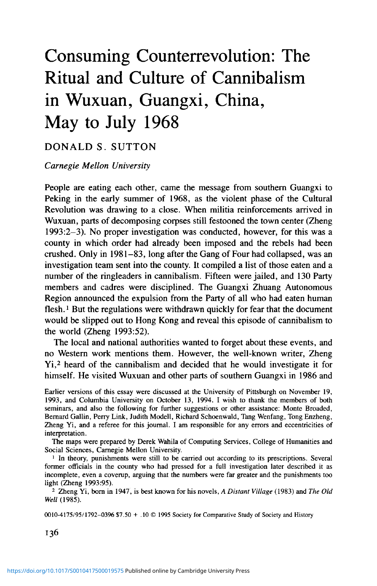inner logic in the two schemes, he claims, is to reject eating what resembles oneself, that is to reject cannibalism. Neither scheme is applicable in the Chinese case. While the Chinese find it good to think with food (the expression is that of Lévi-Strauss) they categorize it as cooked or uncooked, medicine as "hot" or "cold." Therefore we may conclude that the categorization of Chinese food did not give powerful support to repugnance for cannibalism.

The Chinese taboos on cannibalism are equally implicit and powerful but, rather than depending on logical categories, are above all social, that is to say, moral. Since classical times humanity was seen to be separated from animals not at creation but by the successive acts of the sages in inventing the arts of constructing houses, carts and boats, making clothes and cooking, and in perfecting the arts of humane government (Knoblock 1990 2:5-6, also vol. 1:188). Good rule, and for Confucians especially, education and proper social distinctions were what ensured appropriate behavior among people. Such morally based taboos could break down, I suggest, if powerful moral justifications could be made in favor of cannibalism. This is what happened in cases of love (filial) and hate (vengeance) cannibalism, in which general social rules gave way under the pressure of special moral obligations. Something similar seems to have happened in 1968, when national ideology combined with the local features of Wuxuan. In the atmosphere of the Cultural Revolution, a single set of political criteria was elevated above all others, polarizing good and bad under a special morality that could not be questioned and indeed had to be acted upon. The usual restraints on violence broke down, and the result in Wuxuan was the ritualized eating of men whose civilized humanity was denied, indeed negated in the act of eating. It is no accident that Wang Zujian, the man who did most to bring the episode to light and helped local society rediscover its moral bearings, reminded Zheng Yi of a Confucian scholar (Zheng 1993:ch.3).

Beyond the moral prohibition against beast-like behavior, Chinese culture did not encourage dietary taboos that might have inhibited cannibalism. Forbidden foods, such as wild dogs or black goats with white heads, seem to be rare in Chinese popular or educated circles and were in no case universally avoided. The extensive discussion of food taboos by Chia Ming (1368) outlaws almost nothing from the healthy diet. What he warns against is excess in eating and drinking, neglect of the consumer's state of health, the wrong time of the year, the wrong combination of foodstuffs. His advice, then, was conditional and contextual and was probably interpreted so flexibly that the word, taboo, seems out of place (Mote in Chang 1977:228-32). This is typical of Chinese attitudes towards food: discriminating as to context but catholic as to the nature and origin of food. People did not have to go against general assumptions about odd food in rationalizing what must have been instinctively repugnant. Of course Chinese food preparation by chopping into small and unrecognizable pieces, mixing many ingredients in the same dish, and adding strong sauces (Chang in Chang 1977:8) made unfamiliar food go down easily.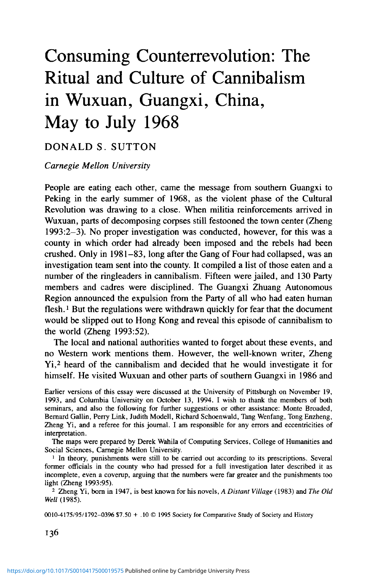So much for some possible obstacles to cannibal practice. What of the positive cultural encouragement, however indirect? Chinese are accustomed to eating bitter tasting, even repulsive looking, food as medicine: the worse it tastes, the better its presumed effect. People have long taken human body products as medicine (Cooper and Sivin 1973). China's most famous modern writer wrote "Medicine," a short story about a couple who acquired a steamed bun dipped in the blood of an executed revolutionary to feed their ailing son (Lu Hsun 1980 [1919]). And in some parts of China, even in modern times, executioners are said to have done a lively trade, on the side, commonly using a large knife to cut out their victims' hearts and livers for curative purposes (Tong Enzheng, Personal Communication).

A belief held of both animal and cannibalistic consumption was that one could absorb the qualities of what one ate. Thus, eaters of the goshawk or tiger would become strong and brave (Schafer in Chang 1977:132; Mote in Chang 1977:243). The Chinese demand for the horn of the rhinoceros, identified as a locus of potent virility, is notorious among conservationists. In a similar vein, a recent historical novel set in Shandong describes a form of indirect cannibalism. After a Japanese massacre of villagers, dogs grow fat living off their flesh. The author describes his father and grandfather surviving on fatty dogmeat in the winter of 1940: "the same as eating a winter's supply of human flesh. Later [my father] would grow into a tall, husky man who could kill without batting an eye. I wonder if that had anything to do with the fact that, indirectly, he had cannibalized his own people?" (Mo Yan 1993:271). In this way of thinking, vigor and ruthlessness are enhanced by indirect cannibalism. Generally it did not matter if the eaten were friend or enemy. Perhaps because the Chinese thought that the spirit was separated from the body in death or unconsciousness, only the desired traits, not the malevolent ones, of an animal or human were absorbed.<sup>22</sup>

#### *The Culture of Cannibalism*

If we summarize the various cultural resonances of cannibalism, most noticeable is the availability of moral underpinnings for the practice. There are the hellish torments designed for the wicked, the link of flesh consumption to sacrifice to the revered ancestors, a folklore of revenge culminating in justifiable cannibalism. On the other hand there were morally grounded taboos not tied to accepted systems of classification and liable to be overridden by larger sociopolitical claims.

22 Chinese notions of digestion, which use the term *hua,* to transform, or (colloquially today *xiaohua,* melt and transform); but the term *hua* is actually untranslatable with a single English word, for it usually means change into something good. It is used in various binomes for sinicization of the barbarians and for the conversion of paper money and other objects into a medium of exchange that can be utilized by the gods and (with the addition of paper household objects) by dead relatives. Here, embedded in the language, was protection against moral taint, insofar as the properties of what was eaten were selectively appropriated by the eater.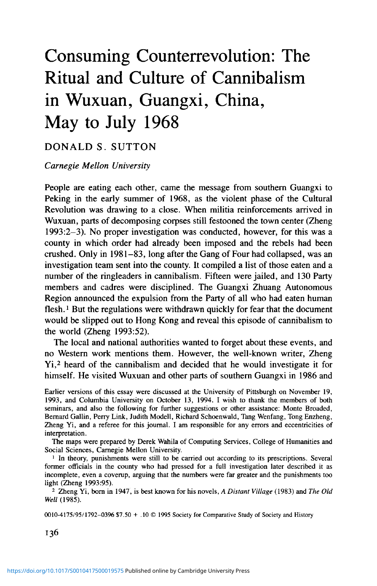The extreme violence of cannibalism is not, then, above or below culture. A culture of cannibalism was rooted in Chinese written records and folk ways. Traditional tales, fictional or not, spread the belief that eating people was not just practiced by wild beasts and monsters but was justifiable in the right situation. This is not to say that the leap from cultural familiarity to practice, from imagery and metaphor to reality, was an easy one. There had to be an extraordinary political atmosphere and particular local reasons we shall return to. What occurred in Wuxuan was a sort of carnival<sup>23</sup>—a moment of hyperbole, a time for Force Twelve typhoons. It was a time to transfer metaphor and simile into action, to make literal the possible. Some people in Wuxuan extemporized powerful metaphors based on the human body, always a rich store of meaning (Douglas 1970). Cannibalism constructed a sort of theatre of the body, embodying and disembodying Chinese cultural truths and local realities. We should now look more closely at the structure of the rites. What various motives explain who participated in them? How did they have the power, beyond the cultural resonances noted already, to draw together whole groups into collective acts normally unimaginable?

#### THE ORDER IN VIOLENCE

#### *Perpetrators and Victims in the Struggles*

We have seen what cultural resources could be drawn upon by those who eat human flesh but not how the process could be institutionalized. Although there were instances of unritualized consumption, the usual method was to append a human flesh banquet to the standard ritual of struggle.<sup>24</sup> In the course of being struggled, a person was transformed into a ritual object; and the rest of the group, into performers of a ritual act full of meaning.

Like other campaigns, the start of a struggle was a series of press and radio announcements repeating certain slogans and targeting people bearing particular labels. Through a public ritual of humiliation, labelling came to transcend the human character of the victim. In the most extreme form, labelling made it conceivable that a ritual act could culminate in killing the victim as a metonym of what the label designated.

But while the labels were supplied by higher authorities, the choice of victims is very much part of local history, the history of face-to-face communities settled for generations by the same families. The violence of land reform and other episodes, Madsen has argued, had left "the social landscape . . . littered with dangerous memories of arbitrary injustices endured and inflicted" (Lipman and Harrell 1990:187). Seeing the PRC under Mao as a

<sup>&</sup>lt;sup>23</sup> A carnival may be described as a festive, no-holds-barred event outside the rules of ordinary life. Bakhtin (1968) pointed out that carnival removes hierarchy, reducing people of power to ordinary mortals, in this case literally to flesh and blood.

<sup>24</sup> For accounts of struggle campaigns, see Whyte (1974), Cell (1977:34-41 , 130-2), Madsen (1984:80-95), Chen (1986:181-201), and the case studies cited below.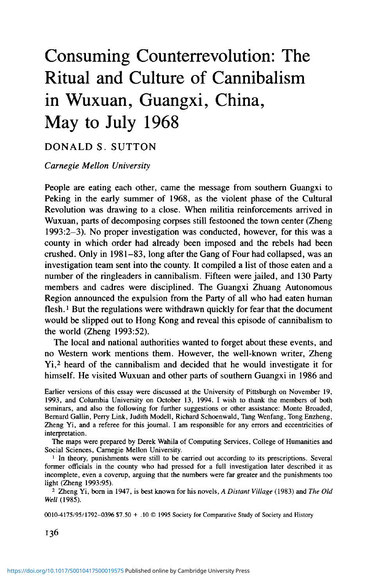violence.<sup>38</sup> Slogans like capitalist roader needed to have tangible local definition, and action had to assume a formal, ritualized character to have persuasive authority. Lacking the right language or ritual, rebel students trying to exhort Guangxi peasants to support the Cultural Revolution met a wall of incomprehension (Hua 1987:ch. 7). What the violent struggle meeting and street struggle parades did in many Guangxi counties was to give physical form to the humiliation of an enemy, expulsion of harm, reintegration of community, and obedience to the center.

Why did Wuxuan in particular develop the peculiar violence of ritual cannibalism? If Chinese culture had so many resonating elements, one should expect other occurances elsewhere. Indeed, unknown to Zheng Yi, a senior official in a speech at a conference of writers in 1981 reportedly mentioned, along with Guangxi, two other places where cannibalism occurred in the Cultural Revolution but should not be written about. The other sites were southern Henan and western Hunan province (Daoxian) (Personal Communication). Information is lacking as to what form the cannibalism took, but all three locations are poor and remote. Poverty meant earlier folk memory of cannibalism of need. Isolation meant the absence of outside help or retribution, and may have pushed conflict beyond its normal bounds. Daoxian, like Wuxuan, was on the old ethnic frontier where Han and non-Han had lived in proximity, a point to which I return below.

Zheng notes an arresting scene hinting at specialist local knowledge of cannibalism. In one of the first Wuxuan murders in June 1968, when a man with a knife hesitates before the corpse wondering where to cut, an old man comes forward and explains, "Cut in the form of the *ren* (man) character" (Zheng 1993:68, note). Was this local wisdom acquired at the execution ground? Perhaps. There is at present no evidence that it had been put to local use in such times of famine as 1903, when people were obliged to "drown girls and sell boys" (Chu and Pang 1934:15, 2:30) or in the Great Leap Forward, when Wei Guoqing commandeered the entire harvest of 1959 on orders from Beijing (Zheng 1993:ch. 4).

There are stronger resonances with the endemic feuding in Wuxuan and with the local youths' reputation for violence, at least since the Taiping movement (1850-64), which had drawn many adherents from the county (Tian 1935:248). Arguably, too, the bloody Zhuang practice of ox sacrifice might be echoed in the bloody street struggles prevalent in 1968 throughout Guangxi.<sup>39</sup>

<sup>&</sup>lt;sup>38</sup> For a summary of peasant responses to the Cultural Revolution, see Liu (1976:151-6). For examples of countryside struggles that were mild or perfunctory, see Siu (1989) and Chen (1973), though their informants (as Siu at least makes clear) probably minimized the violence.

<sup>&</sup>lt;sup>39</sup> I have noted that the Chinese generally lack the European aversion to eating household pets (see above). Wuxuan peasants actually loved toeatwhatwasnear and deartothem:Thesame traveller reported that the women's "affection *(aihu)* for their pigs was sometimes greater than for their own lives" (Tian 1935:248). If we add the symbolic interchangeability of human and pig flesh in South China, bringing oneself to eat people may have been a smaller step than elsewhere in the Guangxi turmoil of 1968.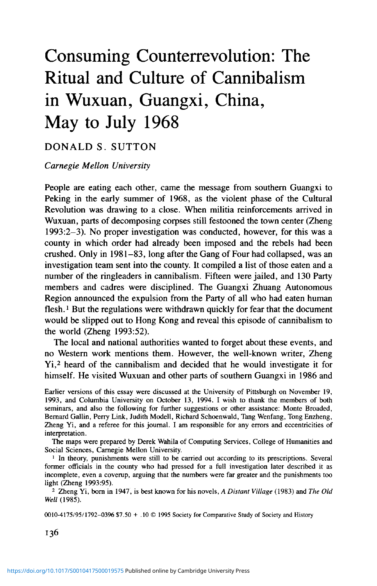As for the place of cannibalism in Zhuang culture, that is very uncertain.<sup>40</sup> In spite of many references in Chinese histories, one can doubt whether cannibalism was ever practiced by the Zhuang. In the absence of detailed accounts of cannibal practices, there is a strong case for the application of Arens' argument that people suspect rival neighboring groups of cannibalism without any foundation. Nor in 1968 were eaters of human flesh in Wuxuan identified specifically as Zhuang.

We have seen so much consistency with elements of the Chinese (in particular, South Chinese) cultural mainstream that it may by superflous to look at the Zhuang. More plausible may be the theory that ideas of violence and cannibalism are somehow a by-product of interaction on the frontier. Frontier Han not only applied to other ethnic groups all the stereotypes of barbarians as cannibals and witches, but some also treated them not quite as human beings. The exemplary and unprovoked massacre of minority non-combatants by Han armies was a feature of the 1911 Revolution both in west Hunan and Guizhou (Shen 1981:19-25; Sutton 1980:130-1). The flesh of the aborigines of Taiwan was openly sold in pork baskets in one town during the nineteenth century (Sangren 1987:223), and an American Chinese working in Guangxi in the 1940s told me that it was common knowledge that human brains could be purchased there. A racist strain in Han frontier culture, then, may be at least as much at fault.

It is important here to know that people referred to as Zhuang were actually migrants from Fujian, Guandong, and elsewhere, who had been acculturated to Zhuang ways after settling in this remote country (Chu and Pang 1934:10, 25). What may have played a role was the local belief that the Zhuang had once eaten people. Knowing themselves to have Zhuang blood, could not locals have turned to the human flesh banquets, as these caught on in village after village, in a sort of self-conscious atavism, turning Han myth into reality?

If the available information on local Wuxuan culture seems not quite sufficient to account for the wave of cannibalism, it may be because of the way cultural change is normally viewed. I have assumed that in some ways culture governs us and in others we consciously manipulate it (Ortner 1990). What I would also underline is that a culture, Chinese culture for instance, is not to be taken as a universally recognized, mutually consistent set of traits, but of polarities or implied polarities, associations or sets of associations, which at their simplest are embedded in the language itself, like raw and cooked, and at their most developed become Turner's "root metaphors" or Ortner's "cultural schemata." (An example of an enduring Chinese schemata might be the "rejected loyal minister" replayed by so many idealistic Red Guards who fought on in 1968, refusing to believe that Mao Zedong had withdrawn his support.)

40 Zheng Yi (1993:ch. 5) sees a cannibalism of need as a universal early stage of human development, suggests that the Zhuang ritual ox sacrifice replaces human sacrifice, and stresses evidence of revenge cannibalism in Chinese culture which may have influenced the Zhuang.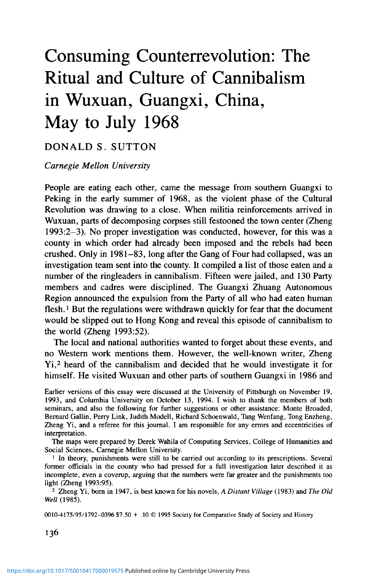People choose or are brought unconsciously to choose within a repertoire of such cultural elements.<sup>41</sup> In times of political tension, mass participation, and a degree of local isolation, new forms of political behavior may appear, drawing from less familiar elements in the cultural repertoire, augmenting and reassembling them. The trend to innovate is widely evident in Guangxi, where the pressures I have described made killing alone seem insufficient. Focused on a central town with special local conditions, each county reached a crescendo of violence in its own time and found its own method of mass killing—a method ritualized and institutionalized to varying degrees, from spontaneous to controlled by county or military authorities. In Mengshan, some of those called "enemies of the people" were buried alive. In Zhongshan and Binyang, they were slowly beaten to death in mass meetings, and in street struggles elsewhere. In Lingshan, over 520 entire families were wiped out, while in parts of Rongan and Mengshan, fathers and sons were murdered but not wives. In Shanglin, only the victims' livers were eaten (Zheng 1993:13- 14, 20, 23, 35, 43, 48). The street struggle terminated by the human flesh banquet was the distinctive solution of Wuxuan.

Discussions of causation in social and political change often seem to depend on implicit chemical reaction or machine models. A more suitable analogy here might be drawn from genetics, in which what is passed down is not seen as a bundle (like "tradition") but, rather, as mutations (or "sports," to use a botanical metaphor) that appear but are not fully explicable in terms of the political machinery or cultural ingredients at hand. I would suggest an explanation distinguishing a mutation from what follows. The very first human flesh banquet actually occurred on May 4, ten days before the climax of the factional warfare in the county seat, in Tongwan commune in the heavily Zhuang southwest, when two people surnamed Tan, one evidently a woman, were struggled, killed with a shotgun, and their flesh cut up, shared, and eaten *(gerou fenshi).* On May 14, in another village in the commune, a man from a neighboring county was waylaid as he passed through the region, in an unexplained event, and was similarly eaten (Zheng 1993:65-66). Here Zhuangspeaking people may have been conscious of recreating in this time of disorder what they believed to be a Zhuang tradition of eating enemies. Word of these remarkable events spread to the rest of the county, and in the second stage the practice was grafted onto the standard street struggles. Other counties found different solutions because things started differently. This particular cultural mutation was cut short in July, and perhaps self-disgust was already causing it to fade. But it was no less cultural, no less Chinese, than other contemporary experiments.

Cannibalism, ritualized or not, is as rare in China as elsewhere, yet even

<sup>&</sup>lt;sup>41</sup> There is a problem of recognizing culture in crisis situations where there may be inversions of usual behavior and resorting to unusual parts of the cultural repertoire. Few would deny the Americanness of American radicals of 1968, even though they contravened mainstream American values.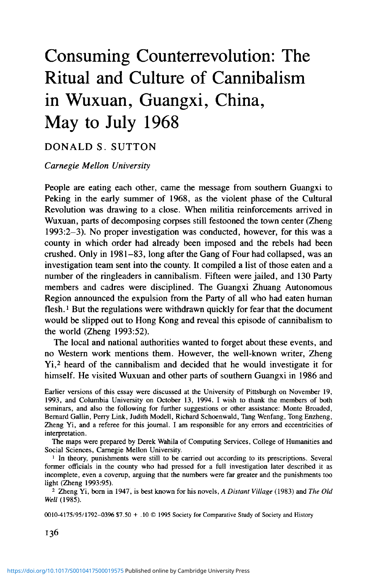fringe behavior in an aberrant event like Wuxuan's human flesh banquets can be fruitfully placed in cultural contexts *(cf.* Simpson 1984). Event and culture, in fact, can illuminate each other. Just as a historian of France (Darnton 1984) has explained a massacre of cats in a Parisian quarter in terms of local culture and society and thereby shed light on eighteenth-century France, so in explaining the bout of cannibalism in Wuxuan I have tried to shed light on cultural traditions as well as local circumstances in 1968. Explanation invariably widens into the most diverse factors, pan-Chinese and local, Communist and popular, political and cultural. Among cultural factors I have enumerated predisposing medicinal and food habits that Wuxuan people shared with other Chinese, the customary sacrifice and banquet that drew communities together in the face of enemies, the folk belief in hell's just punishments, the historicalmythical tales of justified cannibalism. I have noted persistent metaphors and symbols in south Chinese death practices. I have pointed to a Han belief throughout the Southwest that Zhuang had been eaters of human flesh, a tradition that could be self-consciously rehearsed in the events of 1968, and within the county, to the pugnacious reputation of local male youths. Mine should not be mistaken for the kind of cultural or "culturalogical" (Fox, in Ortner 1990) interpretation criticized by White and other political scientists (1989:315-7). I have acknowledged that politics was the cause of violence: Virtual civil war in Guangxi and constant encouragement from Beijing to root out unflinchingly those regarded as enemies of the people combined to make the most extreme acts seem appropriate. Killing and eating scapegoats fulfilled the interests of a variety of participants from local bullies and good-fornothings to those harboring grudges or ambitions for personal advancement. But the form that political violence took was decisively influenced by culture.

If Wuxuan cannibalism had been "cultureless" as a political act or ritual, it could not have caught up so many participants from all levels of society; nor would the survivors continue to feel shame, and the former cannibals continue to feel self-righteous. Writers on the Cultural Revolution usually juxtapose Maoist ideology with traditional culture in the sense of values articulated by elites or expressed in religion. Only in this sense can the Cultural Revolution be taken at face value and assumed to be somehow beyond culture. But if Chinese culture is seen, rather, as a repertoire of ingrained but not unchanging habits and preferences, linguistic and symbolic associations, folk and elite images—if culture is seen not as an organic or even holistic entity transcending time and place but as subject to contingent elaboration, reinterpretation, and even inversion, then the Maoist Cultural Revolution and its local adaptations were also cultural, with resonances beyond ideology that need to be explored. Struggle meetings, street struggles, and even cannibalizations were grounded in familiar cultural symbols and associations. Taking the reassuring grounded in rammar cultural symbols and associations. Taking the reassuring  $\frac{1}{2}$  alienated from Chinese humanist values, not as  $\frac{1}{2}$  as  $\frac{1}{2}$  as  $\frac{1}{2}$  as  $\frac{1}{2}$  as  $\frac{1}{2}$  as  $\frac{1}{2}$  as  $\frac{1}{2}$  as  $\frac{1}{2}$  as  $\frac{1}{2}$  as  $\frac{1}{2}$  as  $\frac{1}{2}$  as  $\frac{1}{2}$  as  $\frac{1}{2}$ alienated from Chinese humanist values, of a kind of order, not as mere chaos. That is how more than seventy people, mostly unconnected with the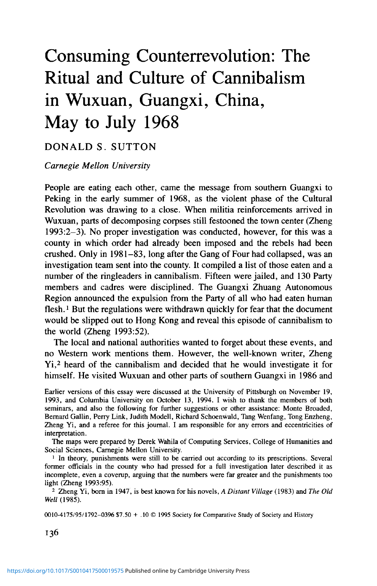recently ended factional conflict, were eaten by thousands of fellow villagers and townspeople at the close of Wuxuan's Cultural Revolution.

#### **REFERENCES**

- Ahern, Emily Martin. 1973. *The Cult of the Dead in a Chinese Village.* Stanford: Stanford University Press.
- Arens, W. 1979. *The Man-Eating Myth: Anthropology and Anthropophagy.* New York: Oxford University Press.
- Bakhtin, Mikhail. 1968 [1965]. *Rabelais and His World.* Cambridge, Mass.: MIT Press.
- Bennett, Gordon A.; and Ronald N. Montaperto. 1972. *Red Guard: The Political Biography of Dai Hsiao-ai.* Garden City: Doubleday.
- Bodde, Derk; and Clarence Morris. 1967. *Law in Imperial China: Exemplified by 190 Ch'ing Dynasty Cases.* Cambridge, Mass.: Harvard University Press.
- Brown, Paula; and Donald Tuzin, eds. 1983. *The Ethnography of Cannibalism.* Washington, D.C.: Society for Psychological Anthropology.
- Bynum, Caroline Walker. 1987. *Holy Feast and Holy Fast: The Religious Significance of Food to Medieval Women.* Berkeley: University of California Press.
- Camporesi, Piero. 1989 [1980]. *Bread of Dreams: Food and Fantasy in Early Modern Europe.* Cambridge: Polity Press/Blackwell.
- Cell, Charles P. 1977. *Revolution at Work: Mobilization Campaigns in China.* New York: Academic Press.
- Chan, Anita; Richard Madsen; and Jonathan Unger. 1992 [1984]. *Chen Village under Mao and Deng.* Berkeley: University of California Press.
- Chang, Jung. 1991. *Wild Swans: Three Daughters of China.* New York: Simon and Schuster.
- Chang Kwang-chih. 1977. *Food in Chinese Culture: Anthropological and Historical Perspectives.* New Haven: Yale University Press.
- Chen, Jack. 1973. *A Year in Upper Felicity: Life in a Chinese Village during the Cultural Revolution.* New York: Macmillan.
- Chen Yung-fa. 1986. *Making Revolution: The Communist Movement in Eastern and Central China, 1937-1945.* Berkeley: University of California Press.
- Chong, Key Ray. 1990. *Cannibalism in China.* Wakefield, N.H.: Longwood Academic.
- Chu Changkui [xiu] and Pang Kengxin [zuan]. 1934. *Wuxuan xianzhi* [Wuxuan county gazetteer]. 18 juan. N.p.
- Clark, Ernest. 1976. "Revolutionary Ritual: A Comparative Analysis of Thought Reform and the Show Trial." *Studies in Comparative Communism,* 9:3, 226-43.
- Cohen, Myron L. "Being Chinese: The Peripheralization of Chinese Identity. *"Daedalus* [Proceedings of the American Academy of Arts and Sciences], 120:2, 113-4.
- Cooper, William; and Nathan Sivin. 1973. "Man as a Medicine," in *Chinese Science.* Cambridge, Mass.: MIT Press.
- Darnton, Robert. 1984. *The Great Cat Massacre and Other Episodes in French Cultural History.* New York: Basic.
- Dittmer, Lowell. 1987. *China's Continuous Revolution: The Post-Liberation Epoch, 1949-1981.* Berkeley: University of California Press.
- Douglas, Mary. 1970. *Natural Symbols: Explorations in Cosmology.* New York, Pantheon.
- Dudbridge, Glen. 1978. *The Legend of Miao-shan.* London: Ithaca Press.
- Endicott, Stephen. 1988. *Red Earth: Revolution in a Sichuan Village.* London: Tauris. Friedman, Edward; Paul G. Pickowicz; Mark Selden; and Kay Ann Johnson. 1991. *Chinese Village, Socialist State.* New Haven: Yale University Press.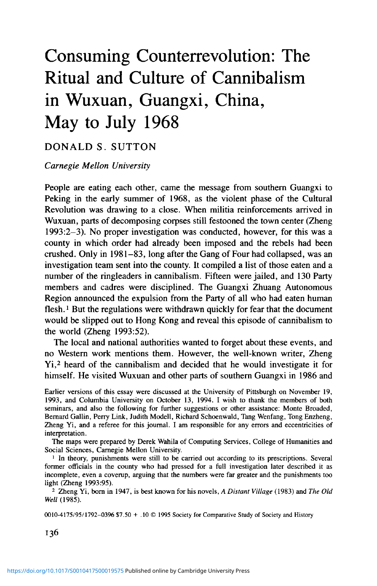- Gao, Yuan. 1987. *Born Red: A Chronicle of the Cultural Revolution.* Stanford: Stanford University Press.
- Gennep, Arnold van. 1960. *The Rites of Passage.* Chicago: University of Chicago Press.

Gzowski, Peter. 1980. *The Sacrament: A True Story of Survival.* New York: Atheneum.

- Hardy, Grant. 1993. "The Reconstruction of Ritual: Capping in Ancient China." *Journal of Ritual Studies,* 7:2 (Summer), 69-90.
- Hinton, William. 1966. *Fanshen: A Documentary of Revolution in a Chinese Village.* New York: Monthly Review Press.
- . 1983. *Shenfan.* New York: Random.
- Hua, Linshan. 1987. *Les Annies rouges.* Paris, Seuil.
- Huang, Shu-min. 1989. *The Spiral Road: Change in a Chinese Village through the Eyes of a Communist Party Leader.* Boulder: Westview.
- Joseph, William A.; Christine Wong; David Zweig, eds. 1991. *New Perspectives on the Cultural Revolution.* Cambridge, Mass.: Council on East Asian Studies.
- Karnow, Stanley. 1972. *Mao and China: From Revolution to Revolution.* New York: Viking Press.
- Knoblock, John. 1988, 1990. *Xunzi: A Translation and Study of the Complete Works,* vols. 1-2. Stanford: Stanford University Press.
- Kraus, Richard Curt. 1981. *Class Conflict in Chinese Socialism.* New York: Columbia University Press.
- Ku, Hua. 1983. *A Small Town Called Hibiscus.* Peking: Chinese Literature Press.
- Larner, Christina. 1981. *Enemies of God: The Witch-hunt in Scotland.* Oxford: Blackwell.
- Leach, Edmund. 1964. "Anthropological Aspects of Language: Animal Categories and Verbal Abuse," in E. H. Lenneberg, ed., *New Directions in the Study of Language.* Cambridge, Mass.: MIT Press.
- Levi-Strauss, Claude. 1966 [1962]. *The Savage Mind.* Chicago: Chicago University Press.
- Lewis, Mark. 1990. *Sanctioned Violence in Early China.* Albany: State University of New York Press.
- Liang, Heng; and Judith Shapiro. 1983. *Son of the Revolution.* New York: Knopf.
- Lin, Jing. 1991. *The Red Guards' Path to Violence: Political, Educational, and Psychological Factors.* New York: Praeger.
- Ling, Ken. 1972. *The Revenge of Heaven; Journal of a Young Chinese,* Miriam London and Ta-ling Lee, trans. New York: Putnam.
- Linger, Daniel. 1992. *Dangerous Encounters: Meanings of Violence in a Brazilian City.* Stanford: Stanford University Press.
- Lipman, Jonathan; and Stevan Harrell, eds. 1990. *Violence in China: Essays in Culture and Counterculture (SUNY Series in Chinese Local Studies).* Albany: State University of New York Press.
- Liu, Alan P. L. 1976. *Political Culture and Group Conflict in Communist China.* Santa Barbara: Clio.
- Liu Binyan. 1993. "Review." *New York Review of Books* (April).
- Lu Hsun. 1980. *Selected Works ofLu Hsun,* vol. 1. Beijing: Peking Foreign Languages Press.
- Luo, Guanzhong. 1976. *Three Kingdoms: China's Epic Drama,* Moss Roberts, trans. New York: Pantheon.
- Madsen, Richard. 1984. *Morality and Power in a Chinese Village.* Berkeley: University of California Press.
- McKnight, Brian E. 1992. *Law and Order in Sung China.* Cambridge: Cambridge University Press.
- Mo, Yan. 1993. *Red Sorghum: A Novel of China.* New York: Viking.